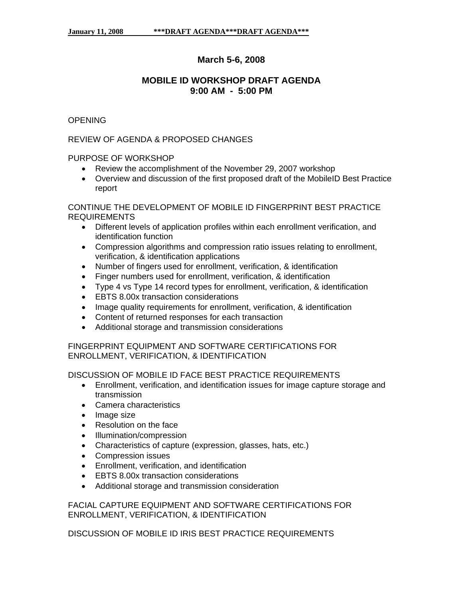# **March 5-6, 2008**

## **MOBILE ID WORKSHOP DRAFT AGENDA 9:00 AM - 5:00 PM**

## **OPENING**

#### REVIEW OF AGENDA & PROPOSED CHANGES

PURPOSE OF WORKSHOP

- Review the accomplishment of the November 29, 2007 workshop
- Overview and discussion of the first proposed draft of the MobileID Best Practice report

CONTINUE THE DEVELOPMENT OF MOBILE ID FINGERPRINT BEST PRACTICE REQUIREMENTS

- Different levels of application profiles within each enrollment verification, and identification function
- Compression algorithms and compression ratio issues relating to enrollment, verification, & identification applications
- Number of fingers used for enrollment, verification, & identification
- Finger numbers used for enrollment, verification, & identification
- Type 4 vs Type 14 record types for enrollment, verification, & identification
- EBTS 8.00x transaction considerations
- Image quality requirements for enrollment, verification, & identification
- Content of returned responses for each transaction
- Additional storage and transmission considerations

FINGERPRINT EQUIPMENT AND SOFTWARE CERTIFICATIONS FOR ENROLLMENT, VERIFICATION, & IDENTIFICATION

DISCUSSION OF MOBILE ID FACE BEST PRACTICE REQUIREMENTS

- transmission • Enrollment, verification, and identification issues for image capture storage and
- Camera characteristics
- Image size
- Resolution on the face
- Illumination/compression
- Characteristics of capture (expression, glasses, hats, etc.)
- Compression issues
- Enrollment, verification, and identification
- EBTS 8.00x transaction considerations
- Additional storage and transmission consideration

FACIAL CAPTURE EQUIPMENT AND SOFTWARE CERTIFICATIONS FOR ENROLLMENT, VERIFICATION, & IDENTIFICATION

DISCUSSION OF MOBILE ID IRIS BEST PRACTICE REQUIREMENTS